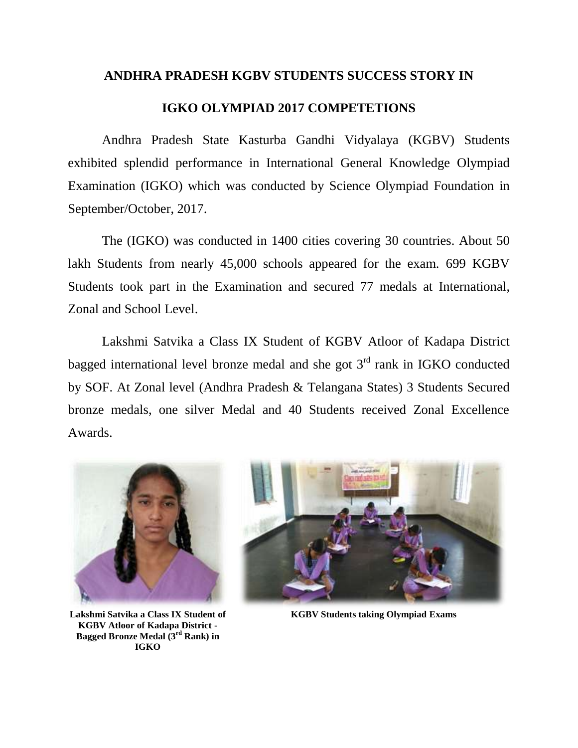## **ANDHRA PRADESH KGBV STUDENTS SUCCESS STORY IN**

## **IGKO OLYMPIAD 2017 COMPETETIONS**

Andhra Pradesh State Kasturba Gandhi Vidyalaya (KGBV) Students exhibited splendid performance in International General Knowledge Olympiad Examination (IGKO) which was conducted by Science Olympiad Foundation in September/October, 2017.

The (IGKO) was conducted in 1400 cities covering 30 countries. About 50 lakh Students from nearly 45,000 schools appeared for the exam. 699 KGBV Students took part in the Examination and secured 77 medals at International, Zonal and School Level.

Lakshmi Satvika a Class IX Student of KGBV Atloor of Kadapa District bagged international level bronze medal and she got  $3<sup>rd</sup>$  rank in IGKO conducted by SOF. At Zonal level (Andhra Pradesh & Telangana States) 3 Students Secured bronze medals, one silver Medal and 40 Students received Zonal Excellence Awards.



**Lakshmi Satvika a Class IX Student of KGBV Atloor of Kadapa District - Bagged Bronze Medal (3rd Rank) in IGKO**



**KGBV Students taking Olympiad Exams**